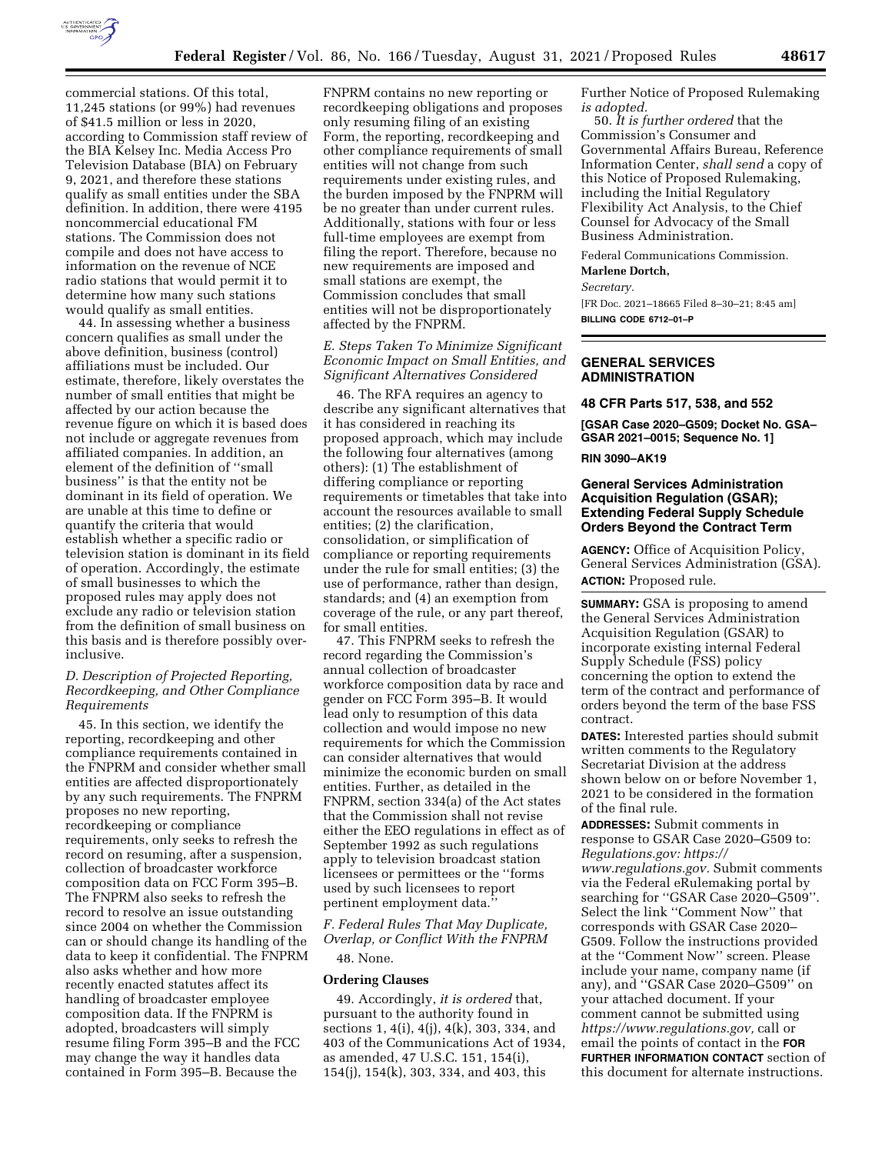

commercial stations. Of this total, 11,245 stations (or 99%) had revenues of \$41.5 million or less in 2020, according to Commission staff review of the BIA Kelsey Inc. Media Access Pro Television Database (BIA) on February 9, 2021, and therefore these stations qualify as small entities under the SBA definition. In addition, there were 4195 noncommercial educational FM stations. The Commission does not compile and does not have access to information on the revenue of NCE radio stations that would permit it to determine how many such stations would qualify as small entities.

44. In assessing whether a business concern qualifies as small under the above definition, business (control) affiliations must be included. Our estimate, therefore, likely overstates the number of small entities that might be affected by our action because the revenue figure on which it is based does not include or aggregate revenues from affiliated companies. In addition, an element of the definition of ''small business'' is that the entity not be dominant in its field of operation. We are unable at this time to define or quantify the criteria that would establish whether a specific radio or television station is dominant in its field of operation. Accordingly, the estimate of small businesses to which the proposed rules may apply does not exclude any radio or television station from the definition of small business on this basis and is therefore possibly overinclusive.

## *D. Description of Projected Reporting, Recordkeeping, and Other Compliance Requirements*

45. In this section, we identify the reporting, recordkeeping and other compliance requirements contained in the FNPRM and consider whether small entities are affected disproportionately by any such requirements. The FNPRM proposes no new reporting, recordkeeping or compliance requirements, only seeks to refresh the record on resuming, after a suspension, collection of broadcaster workforce composition data on FCC Form 395–B. The FNPRM also seeks to refresh the record to resolve an issue outstanding since 2004 on whether the Commission can or should change its handling of the data to keep it confidential. The FNPRM also asks whether and how more recently enacted statutes affect its handling of broadcaster employee composition data. If the FNPRM is adopted, broadcasters will simply resume filing Form 395–B and the FCC may change the way it handles data contained in Form 395–B. Because the

FNPRM contains no new reporting or recordkeeping obligations and proposes only resuming filing of an existing Form, the reporting, recordkeeping and other compliance requirements of small entities will not change from such requirements under existing rules, and the burden imposed by the FNPRM will be no greater than under current rules. Additionally, stations with four or less full-time employees are exempt from filing the report. Therefore, because no new requirements are imposed and small stations are exempt, the Commission concludes that small entities will not be disproportionately affected by the FNPRM.

*E. Steps Taken To Minimize Significant Economic Impact on Small Entities, and Significant Alternatives Considered* 

46. The RFA requires an agency to describe any significant alternatives that it has considered in reaching its proposed approach, which may include the following four alternatives (among others): (1) The establishment of differing compliance or reporting requirements or timetables that take into account the resources available to small entities; (2) the clarification, consolidation, or simplification of compliance or reporting requirements under the rule for small entities; (3) the use of performance, rather than design, standards; and (4) an exemption from coverage of the rule, or any part thereof, for small entities.

47. This FNPRM seeks to refresh the record regarding the Commission's annual collection of broadcaster workforce composition data by race and gender on FCC Form 395–B. It would lead only to resumption of this data collection and would impose no new requirements for which the Commission can consider alternatives that would minimize the economic burden on small entities. Further, as detailed in the FNPRM, section 334(a) of the Act states that the Commission shall not revise either the EEO regulations in effect as of September 1992 as such regulations apply to television broadcast station licensees or permittees or the ''forms used by such licensees to report pertinent employment data.''

*F. Federal Rules That May Duplicate, Overlap, or Conflict With the FNPRM*  48. None.

#### **Ordering Clauses**

49. Accordingly, *it is ordered* that, pursuant to the authority found in sections 1, 4(i), 4(j), 4(k), 303, 334, and 403 of the Communications Act of 1934, as amended, 47 U.S.C. 151, 154(i), 154(j), 154(k), 303, 334, and 403, this

Further Notice of Proposed Rulemaking *is adopted.* 

50. *It is further ordered* that the Commission's Consumer and Governmental Affairs Bureau, Reference Information Center, *shall send* a copy of this Notice of Proposed Rulemaking, including the Initial Regulatory Flexibility Act Analysis, to the Chief Counsel for Advocacy of the Small Business Administration.

Federal Communications Commission.

### **Marlene Dortch,**

*Secretary.* 

[FR Doc. 2021–18665 Filed 8–30–21; 8:45 am] **BILLING CODE 6712–01–P** 

# **GENERAL SERVICES ADMINISTRATION**

#### **48 CFR Parts 517, 538, and 552**

**[GSAR Case 2020–G509; Docket No. GSA– GSAR 2021–0015; Sequence No. 1]** 

# **RIN 3090–AK19**

## **General Services Administration Acquisition Regulation (GSAR); Extending Federal Supply Schedule Orders Beyond the Contract Term**

**AGENCY:** Office of Acquisition Policy, General Services Administration (GSA). **ACTION:** Proposed rule.

**SUMMARY:** GSA is proposing to amend the General Services Administration Acquisition Regulation (GSAR) to incorporate existing internal Federal Supply Schedule (FSS) policy concerning the option to extend the term of the contract and performance of orders beyond the term of the base FSS contract.

**DATES:** Interested parties should submit written comments to the Regulatory Secretariat Division at the address shown below on or before November 1, 2021 to be considered in the formation of the final rule.

**ADDRESSES:** Submit comments in response to GSAR Case 2020–G509 to: *Regulations.gov: [https://](https://www.regulations.gov) [www.regulations.gov.](https://www.regulations.gov)* Submit comments via the Federal eRulemaking portal by searching for "GSAR Case 2020–G509". Select the link ''Comment Now'' that corresponds with GSAR Case 2020– G509. Follow the instructions provided at the ''Comment Now'' screen. Please include your name, company name (if any), and ''GSAR Case 2020–G509'' on your attached document. If your comment cannot be submitted using *[https://www.regulations.gov,](https://www.regulations.gov)* call or email the points of contact in the **FOR FURTHER INFORMATION CONTACT** section of this document for alternate instructions.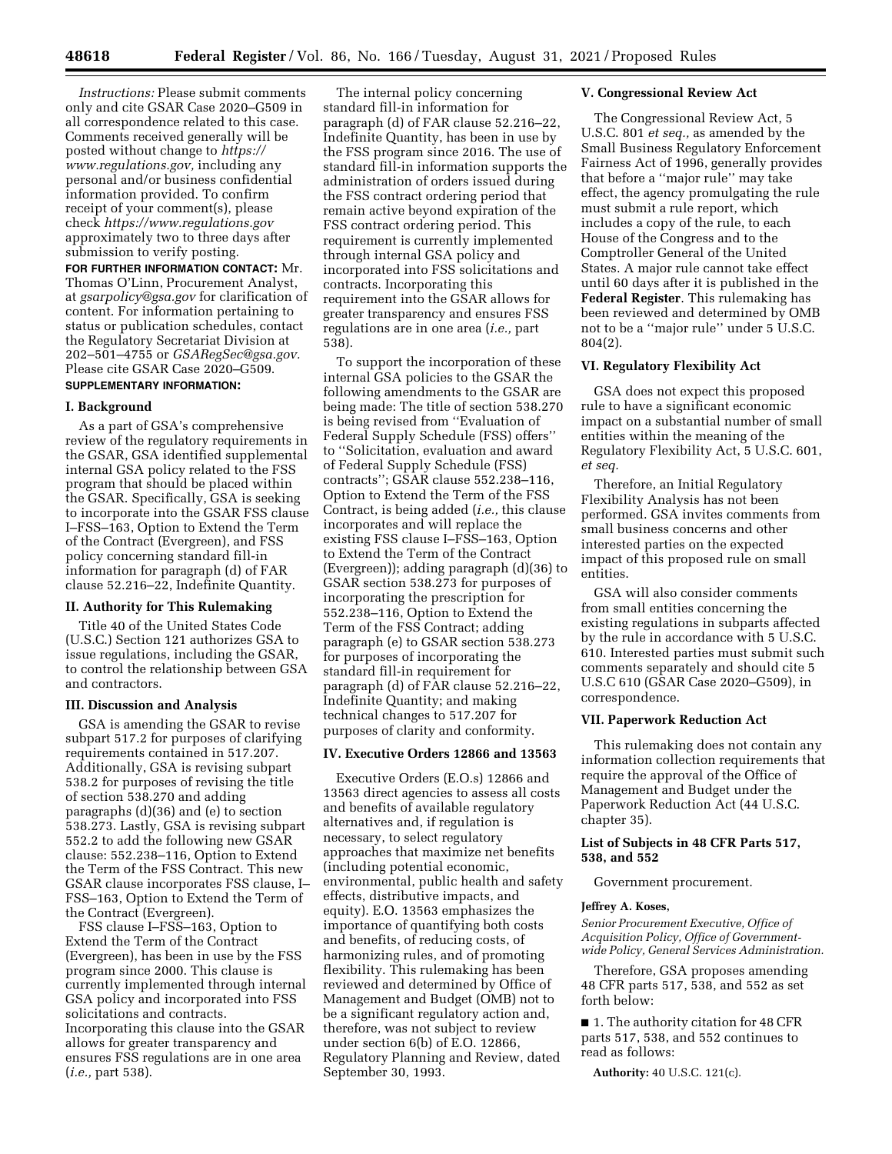*Instructions:* Please submit comments only and cite GSAR Case 2020–G509 in all correspondence related to this case. Comments received generally will be

posted without change to *[https://](https://www.regulations.gov) [www.regulations.gov,](https://www.regulations.gov)* including any personal and/or business confidential information provided. To confirm receipt of your comment(s), please check *<https://www.regulations.gov>* approximately two to three days after submission to verify posting.

**FOR FURTHER INFORMATION CONTACT:** Mr. Thomas O'Linn, Procurement Analyst, at *[gsarpolicy@gsa.gov](mailto:gsarpolicy@gsa.gov)* for clarification of content. For information pertaining to status or publication schedules, contact the Regulatory Secretariat Division at 202–501–4755 or *[GSARegSec@gsa.gov.](mailto:GSARegSec@gsa.gov)*  Please cite GSAR Case 2020–G509. **SUPPLEMENTARY INFORMATION:** 

#### **I. Background**

As a part of GSA's comprehensive review of the regulatory requirements in the GSAR, GSA identified supplemental internal GSA policy related to the FSS program that should be placed within the GSAR. Specifically, GSA is seeking to incorporate into the GSAR FSS clause I–FSS–163, Option to Extend the Term of the Contract (Evergreen), and FSS policy concerning standard fill-in information for paragraph (d) of FAR clause 52.216–22, Indefinite Quantity.

### **II. Authority for This Rulemaking**

Title 40 of the United States Code (U.S.C.) Section 121 authorizes GSA to issue regulations, including the GSAR, to control the relationship between GSA and contractors.

## **III. Discussion and Analysis**

GSA is amending the GSAR to revise subpart 517.2 for purposes of clarifying requirements contained in 517.207. Additionally, GSA is revising subpart 538.2 for purposes of revising the title of section 538.270 and adding paragraphs (d)(36) and (e) to section 538.273. Lastly, GSA is revising subpart 552.2 to add the following new GSAR clause: 552.238–116, Option to Extend the Term of the FSS Contract. This new GSAR clause incorporates FSS clause, I– FSS–163, Option to Extend the Term of the Contract (Evergreen).

FSS clause I–FSS–163, Option to Extend the Term of the Contract (Evergreen), has been in use by the FSS program since 2000. This clause is currently implemented through internal GSA policy and incorporated into FSS solicitations and contracts. Incorporating this clause into the GSAR allows for greater transparency and ensures FSS regulations are in one area (*i.e.,* part 538).

The internal policy concerning standard fill-in information for paragraph (d) of FAR clause 52.216–22, Indefinite Quantity, has been in use by the FSS program since 2016. The use of standard fill-in information supports the administration of orders issued during the FSS contract ordering period that remain active beyond expiration of the FSS contract ordering period. This requirement is currently implemented through internal GSA policy and incorporated into FSS solicitations and contracts. Incorporating this requirement into the GSAR allows for greater transparency and ensures FSS regulations are in one area (*i.e.,* part 538).

To support the incorporation of these internal GSA policies to the GSAR the following amendments to the GSAR are being made: The title of section 538.270 is being revised from ''Evaluation of Federal Supply Schedule (FSS) offers'' to ''Solicitation, evaluation and award of Federal Supply Schedule (FSS) contracts''; GSAR clause 552.238–116, Option to Extend the Term of the FSS Contract, is being added (*i.e.,* this clause incorporates and will replace the existing FSS clause I–FSS–163, Option to Extend the Term of the Contract (Evergreen)); adding paragraph (d)(36) to GSAR section 538.273 for purposes of incorporating the prescription for 552.238–116, Option to Extend the Term of the FSS Contract; adding paragraph (e) to GSAR section 538.273 for purposes of incorporating the standard fill-in requirement for paragraph (d) of FAR clause 52.216–22, Indefinite Quantity; and making technical changes to 517.207 for purposes of clarity and conformity.

#### **IV. Executive Orders 12866 and 13563**

Executive Orders (E.O.s) 12866 and 13563 direct agencies to assess all costs and benefits of available regulatory alternatives and, if regulation is necessary, to select regulatory approaches that maximize net benefits (including potential economic, environmental, public health and safety effects, distributive impacts, and equity). E.O. 13563 emphasizes the importance of quantifying both costs and benefits, of reducing costs, of harmonizing rules, and of promoting flexibility. This rulemaking has been reviewed and determined by Office of Management and Budget (OMB) not to be a significant regulatory action and, therefore, was not subject to review under section 6(b) of E.O. 12866, Regulatory Planning and Review, dated September 30, 1993.

## **V. Congressional Review Act**

The Congressional Review Act, 5 U.S.C. 801 *et seq.,* as amended by the Small Business Regulatory Enforcement Fairness Act of 1996, generally provides that before a ''major rule'' may take effect, the agency promulgating the rule must submit a rule report, which includes a copy of the rule, to each House of the Congress and to the Comptroller General of the United States. A major rule cannot take effect until 60 days after it is published in the **Federal Register**. This rulemaking has been reviewed and determined by OMB not to be a ''major rule'' under 5 U.S.C. 804(2).

#### **VI. Regulatory Flexibility Act**

GSA does not expect this proposed rule to have a significant economic impact on a substantial number of small entities within the meaning of the Regulatory Flexibility Act, 5 U.S.C. 601, *et seq.* 

Therefore, an Initial Regulatory Flexibility Analysis has not been performed. GSA invites comments from small business concerns and other interested parties on the expected impact of this proposed rule on small entities.

GSA will also consider comments from small entities concerning the existing regulations in subparts affected by the rule in accordance with 5 U.S.C. 610. Interested parties must submit such comments separately and should cite 5 U.S.C 610 (GSAR Case 2020–G509), in correspondence.

# **VII. Paperwork Reduction Act**

This rulemaking does not contain any information collection requirements that require the approval of the Office of Management and Budget under the Paperwork Reduction Act (44 U.S.C. chapter 35).

## **List of Subjects in 48 CFR Parts 517, 538, and 552**

Government procurement.

#### **Jeffrey A. Koses,**

*Senior Procurement Executive, Office of Acquisition Policy, Office of Governmentwide Policy, General Services Administration.* 

Therefore, GSA proposes amending 48 CFR parts 517, 538, and 552 as set forth below:

■ 1. The authority citation for 48 CFR parts 517, 538, and 552 continues to read as follows:

**Authority:** 40 U.S.C. 121(c).